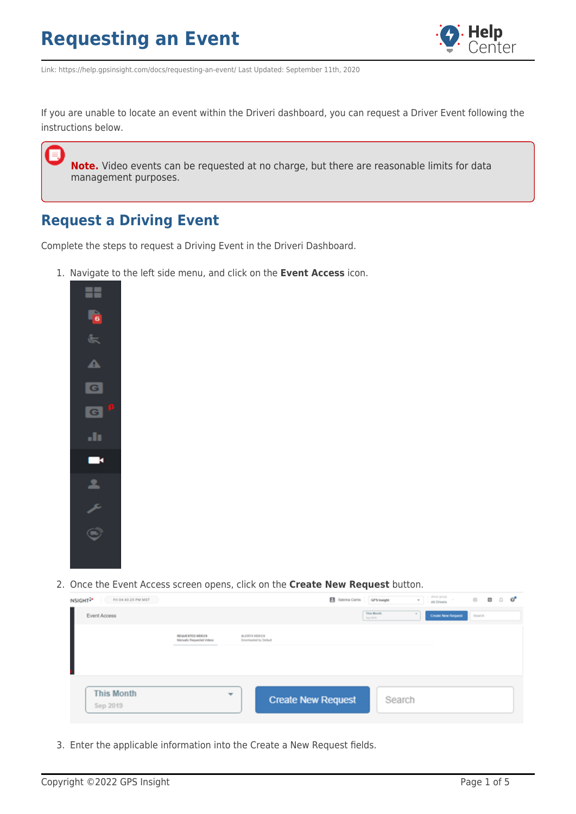

Link: https://help.gpsinsight.com/docs/requesting-an-event/ Last Updated: September 11th, 2020

If you are unable to locate an event within the Driveri dashboard, you can request a Driver Event following the instructions below.

**Note.** Video events can be requested at no charge, but there are reasonable limits for data management purposes.

#### **Request a Driving Event**

Complete the steps to request a Driving Event in the Driveri Dashboard.

1. Navigate to the left side menu, and click on the **Event Access** icon.



2. Once the Event Access screen opens, click on the **Create New Request** button.

| INSIGHT <sup>2</sup><br>Fri 04:43:25 PM MST |                                              |                                        |                           | B Sabrina Camis | GPS Insight            | $\sim$ | driver group<br>All Drivers | 容      | ø | $\Box$ | $\mathbf{G}^{\bullet}$ |
|---------------------------------------------|----------------------------------------------|----------------------------------------|---------------------------|-----------------|------------------------|--------|-----------------------------|--------|---|--------|------------------------|
| Event Access                                |                                              |                                        |                           |                 | This Month<br>Sep 2015 |        | Create New Request          | Search |   |        |                        |
|                                             | REQUESTED VIDEOS<br>Manuely Requested Videos | ALERTS VIDEOS<br>Downloaded by Default |                           |                 |                        |        |                             |        |   |        |                        |
|                                             |                                              |                                        |                           |                 |                        |        |                             |        |   |        |                        |
| <b>This Month</b><br>Sep 2019               |                                              | $\overline{\phantom{a}}$               | <b>Create New Request</b> |                 | Search                 |        |                             |        |   |        |                        |

3. Enter the applicable information into the Create a New Request fields.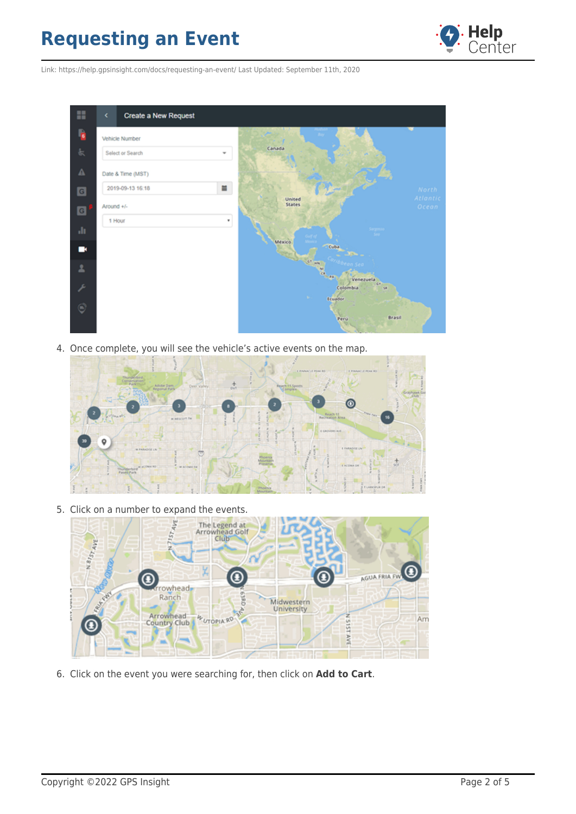

Link: https://help.gpsinsight.com/docs/requesting-an-event/ Last Updated: September 11th, 2020



4. Once complete, you will see the vehicle's active events on the map.



5. Click on a number to expand the events.



6. Click on the event you were searching for, then click on **Add to Cart**.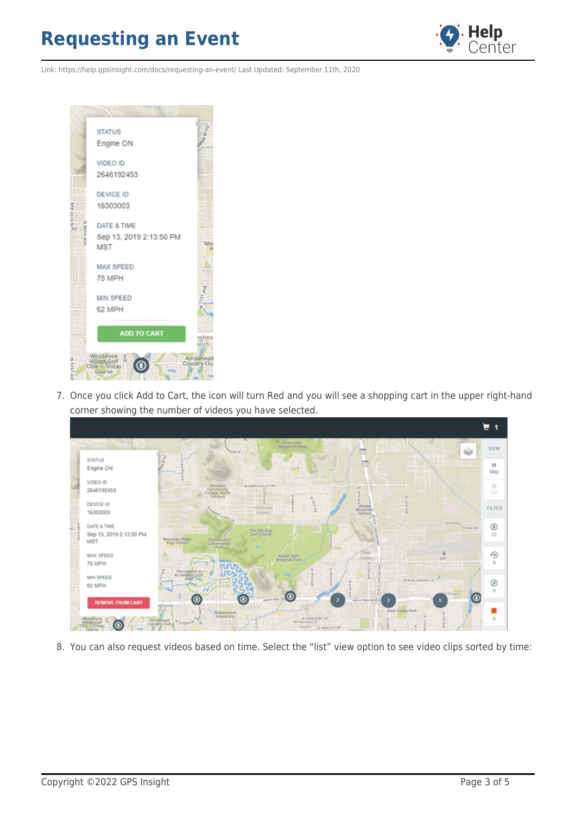

Link: https://help.gpsinsight.com/docs/requesting-an-event/ Last Updated: September 11th, 2020



7. Once you click Add to Cart, the icon will turn Red and you will see a shopping cart in the upper right-hand corner showing the number of videos you have selected.



8. You can also request videos based on time. Select the "list" view option to see video clips sorted by time: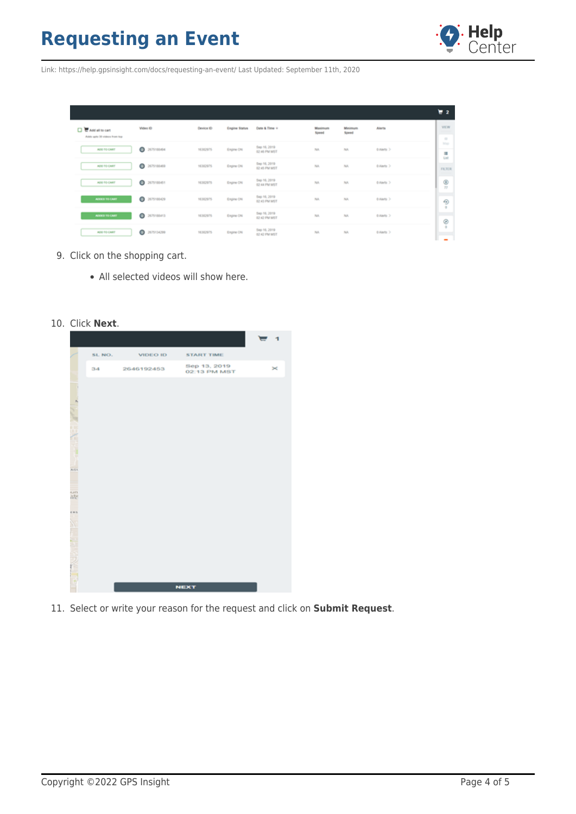

Link: https://help.gpsinsight.com/docs/requesting-an-event/ Last Updated: September 11th, 2020

|                                 |                       |                  |               |                                     |                         |                  |              | $\mathbf{r}$  |
|---------------------------------|-----------------------|------------------|---------------|-------------------------------------|-------------------------|------------------|--------------|---------------|
| <b>DE Add all to cart</b>       | Wideo ID              | <b>Device ID</b> | Engine Status | Date & Time +                       | <b>Maximum</b><br>Speed | Minimum<br>Speed | Alerta.      | VIEW          |
| Adds up to 30 states a from the |                       |                  |               |                                     |                         |                  |              | $\sim$        |
| ADD TO CART                     | ۰<br>2675188404       | 16302975         | Engine ON     | Sep 16, 2019<br>02:46 PM MST        | NA                      | Ast.             | 0.Alerts >   | Map           |
|                                 |                       |                  |               |                                     |                         |                  |              | ш<br>tar      |
| ADD TO CART                     | ۰<br>2675180409       | 16302975         | Engine CN     | Sep 16, 2019<br>62:45 PM MST        | NA                      | NA.              | 0. Alerto 3  | <b>FILTER</b> |
|                                 |                       |                  |               |                                     |                         |                  |              |               |
| ADD TO CART                     | $\circ$<br>2675188451 | 16302975         | Engine ON     | Sep 16, 2019<br>62-44 PM MST        | NA                      | Aut.             | 0.Alerta 2   | ◉<br>T2       |
|                                 |                       |                  |               |                                     |                         |                  |              |               |
| ADDED TO CART                   | ۰<br>2675188429       | 16302975         | Engine ON     | Sep 16, 2019<br><b>62 K3 PM MST</b> | NA                      | Page,            | 0.Alerts >   | ⊕             |
|                                 |                       |                  |               |                                     |                         |                  |              | ٠             |
| ADDED TO CARD                   | $\circ$<br>2675188413 | 16302975         | Engine CN     | Sep 16, 2019<br>62-A2-PM MST        | NA.                     | NA.              | 0. Alerto 31 |               |
|                                 |                       |                  |               |                                     |                         |                  |              | ⊛<br>٠        |
| ADD TO CART                     | ٥<br>2675134299       | 16302975         | Engine ON     | Sep 16, 2019<br>62-42 PM MST        | NA                      | NA               | 0.Alerta 2   |               |
|                                 |                       |                  |               |                                     |                         |                  |              | $\sim$        |

- 9. Click on the shopping cart.
	- All selected videos will show here.
- 10. Click **Next**.

|                            |        |            |                              | $\mathbf{I}$ |
|----------------------------|--------|------------|------------------------------|--------------|
|                            | SL NO. | VIDEO ID   | <b>START TIME</b>            |              |
|                            | 34     | 2646192453 | Sep 13, 2019<br>02:13 PM MST | $\asymp$     |
|                            |        |            |                              |              |
|                            |        |            |                              |              |
|                            |        |            |                              |              |
|                            |        |            |                              |              |
| <b>Controller Services</b> |        |            |                              |              |
| AGS                        |        |            |                              |              |
| ÷                          |        |            |                              |              |
| ain<br><b>Iste</b>         |        |            |                              |              |
| ens<br>т                   |        |            |                              |              |
|                            |        |            |                              |              |
|                            |        |            |                              |              |
|                            |        |            |                              |              |
|                            |        |            |                              |              |
|                            |        |            | <b>NEXT</b>                  |              |

11. Select or write your reason for the request and click on **Submit Request**.